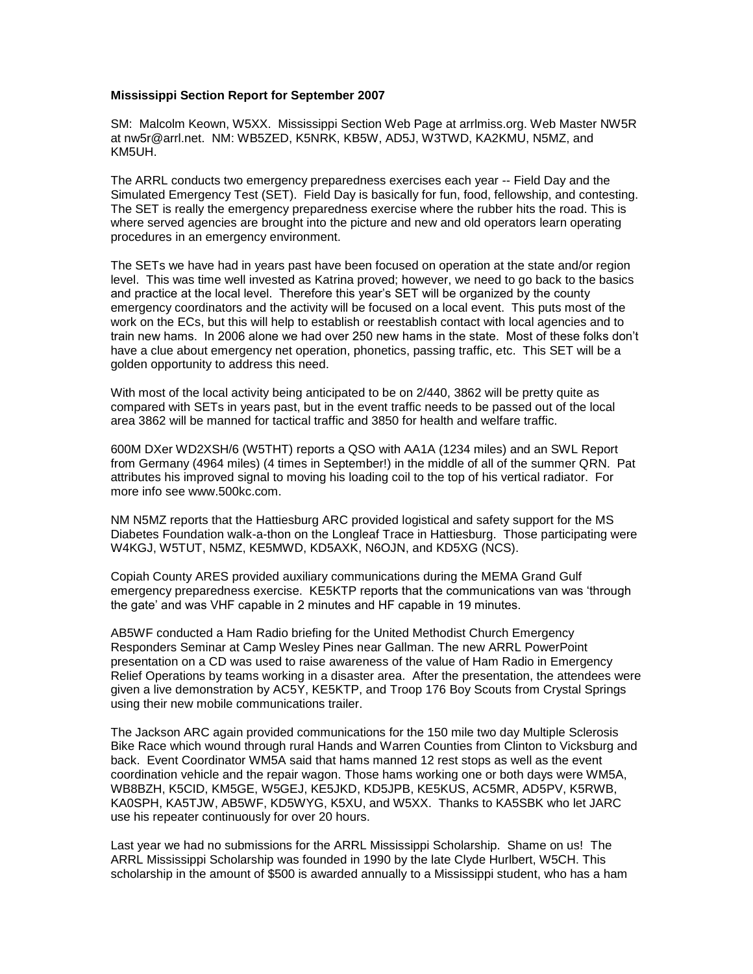## **Mississippi Section Report for September 2007**

SM: Malcolm Keown, W5XX. Mississippi Section Web Page at arrlmiss.org. Web Master NW5R at nw5r@arrl.net. NM: WB5ZED, K5NRK, KB5W, AD5J, W3TWD, KA2KMU, N5MZ, and KM5UH.

The ARRL conducts two emergency preparedness exercises each year -- Field Day and the Simulated Emergency Test (SET). Field Day is basically for fun, food, fellowship, and contesting. The SET is really the emergency preparedness exercise where the rubber hits the road. This is where served agencies are brought into the picture and new and old operators learn operating procedures in an emergency environment.

The SETs we have had in years past have been focused on operation at the state and/or region level. This was time well invested as Katrina proved; however, we need to go back to the basics and practice at the local level. Therefore this year's SET will be organized by the county emergency coordinators and the activity will be focused on a local event. This puts most of the work on the ECs, but this will help to establish or reestablish contact with local agencies and to train new hams. In 2006 alone we had over 250 new hams in the state. Most of these folks don't have a clue about emergency net operation, phonetics, passing traffic, etc. This SET will be a golden opportunity to address this need.

With most of the local activity being anticipated to be on 2/440, 3862 will be pretty quite as compared with SETs in years past, but in the event traffic needs to be passed out of the local area 3862 will be manned for tactical traffic and 3850 for health and welfare traffic.

600M DXer WD2XSH/6 (W5THT) reports a QSO with AA1A (1234 miles) and an SWL Report from Germany (4964 miles) (4 times in September!) in the middle of all of the summer QRN. Pat attributes his improved signal to moving his loading coil to the top of his vertical radiator. For more info see www.500kc.com.

NM N5MZ reports that the Hattiesburg ARC provided logistical and safety support for the MS Diabetes Foundation walk-a-thon on the Longleaf Trace in Hattiesburg. Those participating were W4KGJ, W5TUT, N5MZ, KE5MWD, KD5AXK, N6OJN, and KD5XG (NCS).

Copiah County ARES provided auxiliary communications during the MEMA Grand Gulf emergency preparedness exercise. KE5KTP reports that the communications van was 'through the gate' and was VHF capable in 2 minutes and HF capable in 19 minutes.

AB5WF conducted a Ham Radio briefing for the United Methodist Church Emergency Responders Seminar at Camp Wesley Pines near Gallman. The new ARRL PowerPoint presentation on a CD was used to raise awareness of the value of Ham Radio in Emergency Relief Operations by teams working in a disaster area. After the presentation, the attendees were given a live demonstration by AC5Y, KE5KTP, and Troop 176 Boy Scouts from Crystal Springs using their new mobile communications trailer.

The Jackson ARC again provided communications for the 150 mile two day Multiple Sclerosis Bike Race which wound through rural Hands and Warren Counties from Clinton to Vicksburg and back. Event Coordinator WM5A said that hams manned 12 rest stops as well as the event coordination vehicle and the repair wagon. Those hams working one or both days were WM5A, WB8BZH, K5CID, KM5GE, W5GEJ, KE5JKD, KD5JPB, KE5KUS, AC5MR, AD5PV, K5RWB, KA0SPH, KA5TJW, AB5WF, KD5WYG, K5XU, and W5XX. Thanks to KA5SBK who let JARC use his repeater continuously for over 20 hours.

Last year we had no submissions for the ARRL Mississippi Scholarship. Shame on us! The ARRL Mississippi Scholarship was founded in 1990 by the late Clyde Hurlbert, W5CH. This scholarship in the amount of \$500 is awarded annually to a Mississippi student, who has a ham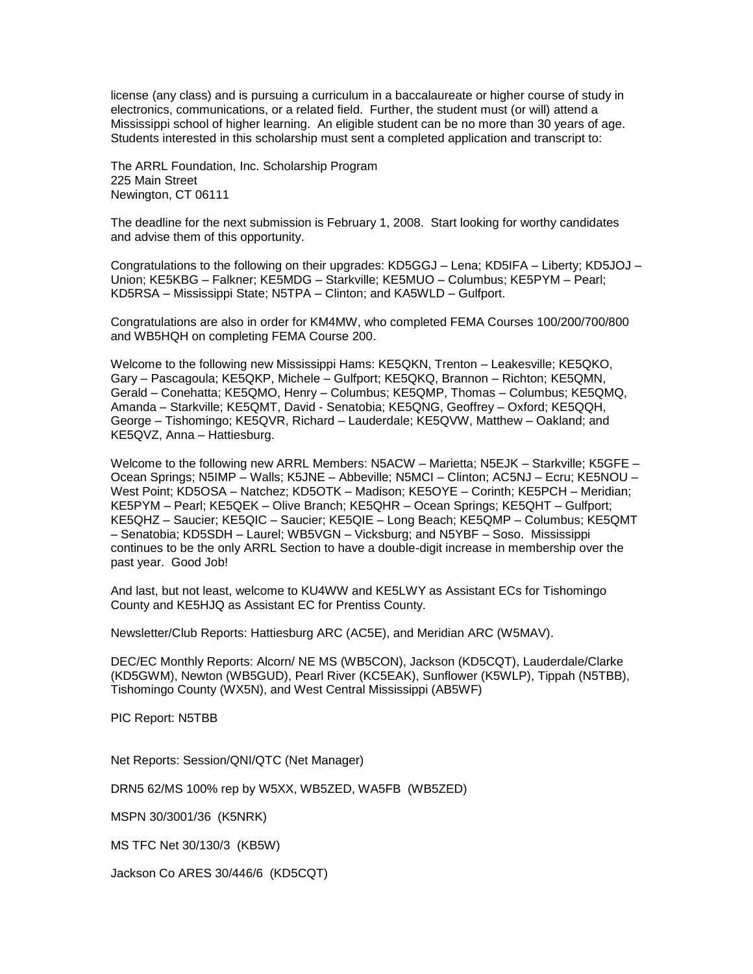license (any class) and is pursuing a curriculum in a baccalaureate or higher course of study in electronics, communications, or a related field. Further, the student must (or will) attend a Mississippi school of higher learning. An eligible student can be no more than 30 years of age. Students interested in this scholarship must sent a completed application and transcript to:

The ARRL Foundation, Inc. Scholarship Program 225 Main Street Newington, CT 06111

The deadline for the next submission is February 1, 2008. Start looking for worthy candidates and advise them of this opportunity.

Congratulations to the following on their upgrades: KD5GGJ – Lena; KD5IFA – Liberty; KD5JOJ – Union; KE5KBG – Falkner; KE5MDG – Starkville; KE5MUO – Columbus; KE5PYM – Pearl; KD5RSA – Mississippi State; N5TPA – Clinton; and KA5WLD – Gulfport.

Congratulations are also in order for KM4MW, who completed FEMA Courses 100/200/700/800 and WB5HQH on completing FEMA Course 200.

Welcome to the following new Mississippi Hams: KE5QKN, Trenton – Leakesville; KE5QKO, Gary – Pascagoula; KE5QKP, Michele – Gulfport; KE5QKQ, Brannon – Richton; KE5QMN, Gerald – Conehatta; KE5QMO, Henry – Columbus; KE5QMP, Thomas – Columbus; KE5QMQ, Amanda – Starkville; KE5QMT, David - Senatobia; KE5QNG, Geoffrey – Oxford; KE5QQH, George – Tishomingo; KE5QVR, Richard – Lauderdale; KE5QVW, Matthew – Oakland; and KE5QVZ, Anna – Hattiesburg.

Welcome to the following new ARRL Members: N5ACW – Marietta; N5EJK – Starkville; K5GFE – Ocean Springs; N5IMP – Walls; K5JNE – Abbeville; N5MCI – Clinton; AC5NJ – Ecru; KE5NOU – West Point; KD5OSA – Natchez; KD5OTK – Madison; KE5OYE – Corinth; KE5PCH – Meridian; KE5PYM – Pearl; KE5QEK – Olive Branch; KE5QHR – Ocean Springs; KE5QHT – Gulfport; KE5QHZ – Saucier; KE5QIC – Saucier; KE5QIE – Long Beach; KE5QMP – Columbus; KE5QMT – Senatobia; KD5SDH – Laurel; WB5VGN – Vicksburg; and N5YBF – Soso. Mississippi continues to be the only ARRL Section to have a double-digit increase in membership over the past year. Good Job!

And last, but not least, welcome to KU4WW and KE5LWY as Assistant ECs for Tishomingo County and KE5HJQ as Assistant EC for Prentiss County.

Newsletter/Club Reports: Hattiesburg ARC (AC5E), and Meridian ARC (W5MAV).

DEC/EC Monthly Reports: Alcorn/ NE MS (WB5CON), Jackson (KD5CQT), Lauderdale/Clarke (KD5GWM), Newton (WB5GUD), Pearl River (KC5EAK), Sunflower (K5WLP), Tippah (N5TBB), Tishomingo County (WX5N), and West Central Mississippi (AB5WF)

PIC Report: N5TBB

Net Reports: Session/QNI/QTC (Net Manager)

DRN5 62/MS 100% rep by W5XX, WB5ZED, WA5FB (WB5ZED)

MSPN 30/3001/36 (K5NRK)

MS TFC Net 30/130/3 (KB5W)

Jackson Co ARES 30/446/6 (KD5CQT)